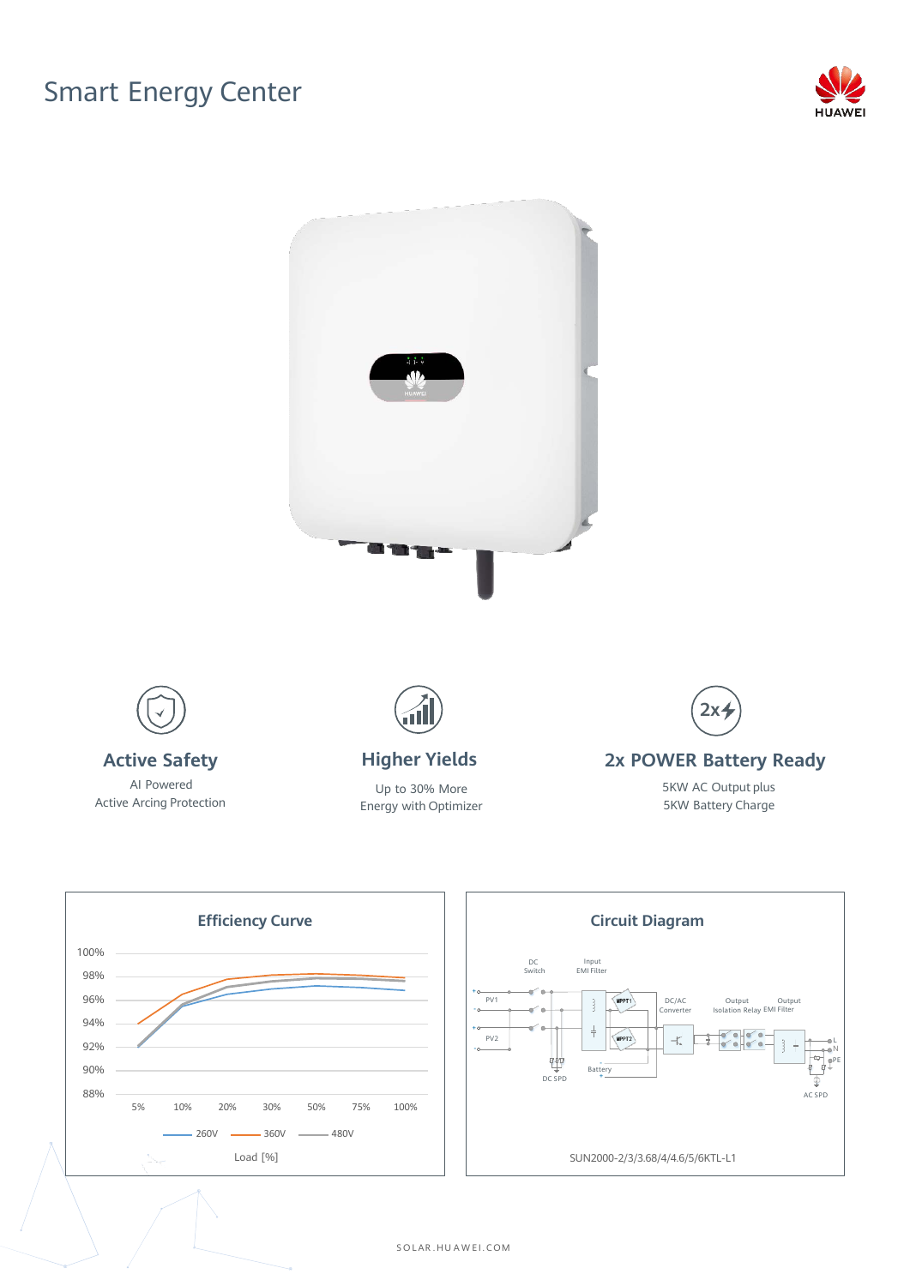## Smart Energy Center









S O LAR . HU A W E I . C OM